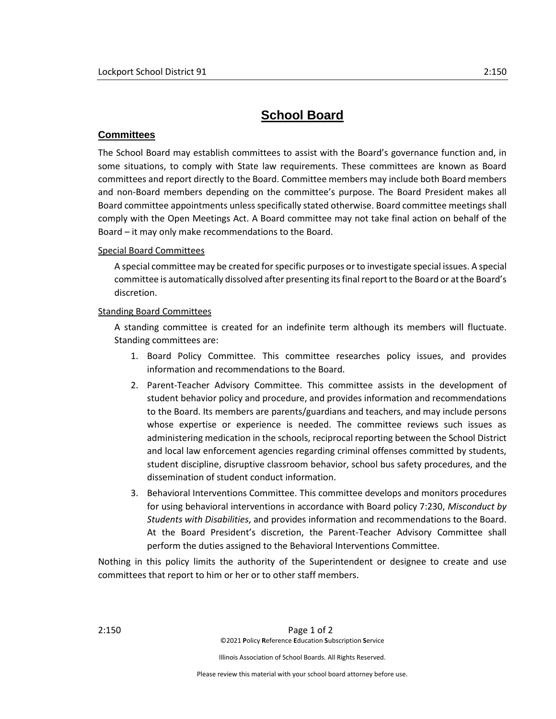## **School Board**

## **Committees**

The School Board may establish committees to assist with the Board's governance function and, in some situations, to comply with State law requirements. These committees are known as Board committees and report directly to the Board. Committee members may include both Board members and non-Board members depending on the committee's purpose. The Board President makes all Board committee appointments unless specifically stated otherwise. Board committee meetings shall comply with the Open Meetings Act. A Board committee may not take final action on behalf of the Board – it may only make recommendations to the Board.

## Special Board Committees

A special committee may be created for specific purposes or to investigate special issues. A special committee is automatically dissolved after presenting its final report to the Board or at the Board's discretion.

## Standing Board Committees

A standing committee is created for an indefinite term although its members will fluctuate. Standing committees are:

- 1. Board Policy Committee. This committee researches policy issues, and provides information and recommendations to the Board.
- 2. Parent-Teacher Advisory Committee. This committee assists in the development of student behavior policy and procedure, and provides information and recommendations to the Board. Its members are parents/guardians and teachers, and may include persons whose expertise or experience is needed. The committee reviews such issues as administering medication in the schools, reciprocal reporting between the School District and local law enforcement agencies regarding criminal offenses committed by students, student discipline, disruptive classroom behavior, school bus safety procedures, and the dissemination of student conduct information.
- 3. Behavioral Interventions Committee. This committee develops and monitors procedures for using behavioral interventions in accordance with Board policy 7:230, *Misconduct by Students with Disabilities*, and provides information and recommendations to the Board. At the Board President's discretion, the Parent-Teacher Advisory Committee shall perform the duties assigned to the Behavioral Interventions Committee.

Nothing in this policy limits the authority of the Superintendent or designee to create and use committees that report to him or her or to other staff members.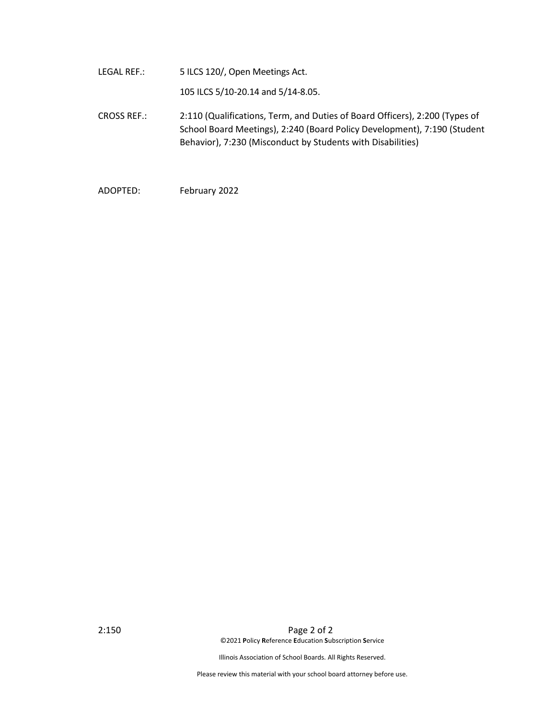LEGAL REF.: 5 ILCS 120/, Open Meetings Act.

105 ILCS 5/10-20.14 and 5/14-8.05.

- CROSS REF.: 2:110 (Qualifications, Term, and Duties of Board Officers), 2:200 (Types of School Board Meetings), 2:240 (Board Policy Development), 7:190 (Student Behavior), 7:230 (Misconduct by Students with Disabilities)
- ADOPTED: February 2022

2:150 Page 2 of 2 ©2021 **P**olicy **R**eference **E**ducation **S**ubscription **S**ervice

Illinois Association of School Boards. All Rights Reserved.

Please review this material with your school board attorney before use.